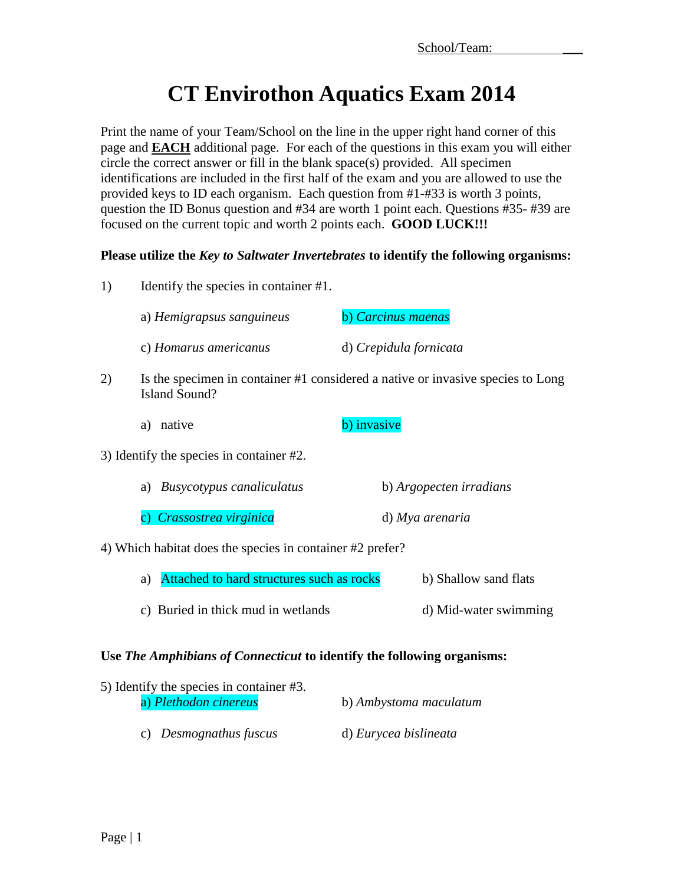# **CT Envirothon Aquatics Exam 2014**

Print the name of your Team/School on the line in the upper right hand corner of this page and **EACH** additional page. For each of the questions in this exam you will either circle the correct answer or fill in the blank space(s) provided. All specimen identifications are included in the first half of the exam and you are allowed to use the provided keys to ID each organism. Each question from #1-#33 is worth 3 points, question the ID Bonus question and #34 are worth 1 point each. Questions #35- #39 are focused on the current topic and worth 2 points each. **GOOD LUCK!!!**

## **Please utilize the** *Key to Saltwater Invertebrates* **to identify the following organisms:**

1) Identify the species in container #1.

| a) Hemigrapsus sanguineus | b) Carcinus maenas     |
|---------------------------|------------------------|
| c) Homarus americanus     | d) Crepidula fornicata |

- 2) Is the specimen in container #1 considered a native or invasive species to Long Island Sound?
	- a) native b) invasive
- 3) Identify the species in container #2.

| a) Busycotypus canaliculatus | b) Argopecten irradians |
|------------------------------|-------------------------|
|                              |                         |

c) *Crassostrea virginica* d) *Mya arenaria*

4) Which habitat does the species in container #2 prefer?

- a) Attached to hard structures such as rocks b) Shallow sand flats
- c) Buried in thick mud in wetlands d) Mid-water swimming

## **Use** *The Amphibians of Connecticut* **to identify the following organisms:**

| 5) Identify the species in container #3. |                        |
|------------------------------------------|------------------------|
| a) Plethodon cinereus                    | b) Ambystoma maculatum |
| c) Desmognathus fuscus                   | d) Eurycea bislineata  |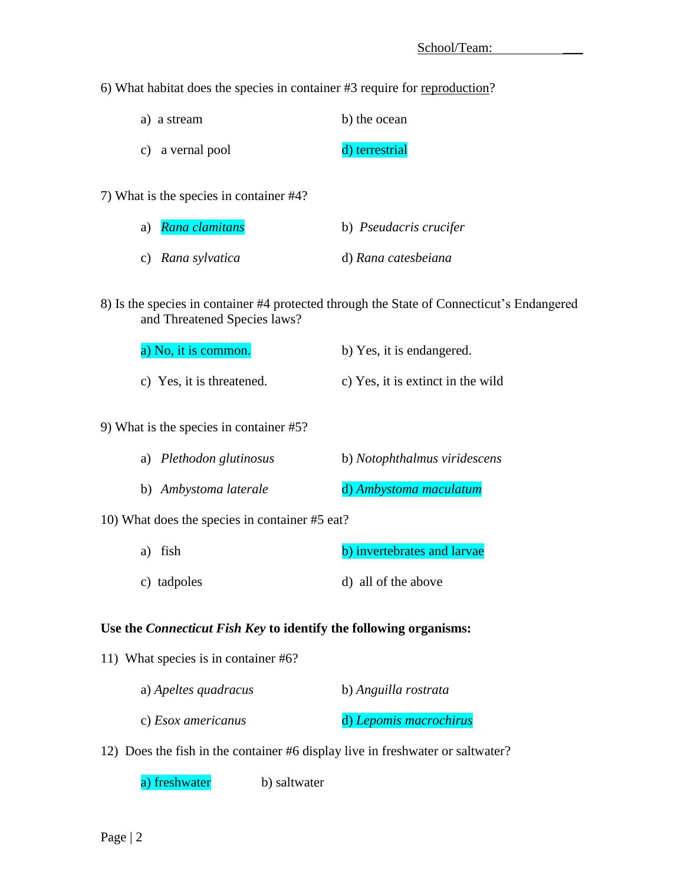6) What habitat does the species in container #3 require for reproduction?

| a) a stream      | b) the ocean   |
|------------------|----------------|
| c) a vernal pool | d) terrestrial |

7) What is the species in container #4?

| a) <i>Rana clamitans</i> | b) <i>Pseudacris crucifer</i> |
|--------------------------|-------------------------------|
| c) Rana sylvatica        | d) Rana catesbeiana           |

8) Is the species in container #4 protected through the State of Connecticut's Endangered and Threatened Species laws?

| a) No, it is common.      | b) Yes, it is endangered.         |
|---------------------------|-----------------------------------|
| c) Yes, it is threatened. | c) Yes, it is extinct in the wild |

### 9) What is the species in container #5?

| a) Plethodon glutinosus | b) Notophthalmus viridescens |
|-------------------------|------------------------------|
| b) Ambystoma laterale   | d) Ambystoma maculatum       |

10) What does the species in container #5 eat?

- a) fish b) invertebrates and larvae
- c) tadpoles d) all of the above

### **Use the** *Connecticut Fish Key* **to identify the following organisms:**

11) What species is in container #6?

| a) Apeltes quadracus | b) Anguilla rostrata   |
|----------------------|------------------------|
| c) Esox americanus   | d) Lepomis macrochirus |

12) Does the fish in the container #6 display live in freshwater or saltwater?

a) freshwater b) saltwater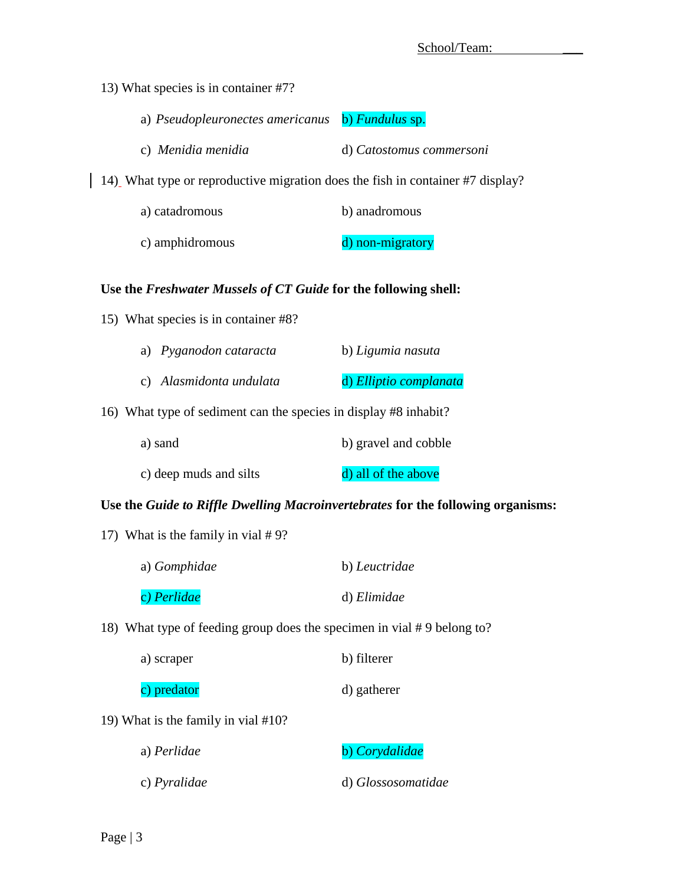13) What species is in container #7?

| a) Pseudopleuronectes americanus | b) Fundulus sp. |  |
|----------------------------------|-----------------|--|
|                                  |                 |  |

c) *Menidia menidia* d) *Catostomus commersoni*

14) What type or reproductive migration does the fish in container #7 display?

| a) catadromous  | b) anadromous    |
|-----------------|------------------|
| c) amphidromous | d) non-migratory |

## **Use the** *Freshwater Mussels of CT Guide* **for the following shell:**

15) What species is in container #8?

| a) Pyganodon cataracta  | b) Ligumia nasuta      |
|-------------------------|------------------------|
| c) Alasmidonta undulata | d) Elliptio complanata |

16) What type of sediment can the species in display #8 inhabit?

| a) sand                | b) gravel and cobble |
|------------------------|----------------------|
| c) deep muds and silts | d) all of the above  |

### **Use the** *Guide to Riffle Dwelling Macroinvertebrates* **for the following organisms:**

17) What is the family in vial # 9?

| a) Gomphidae | b) Leuctridae |  |  |
|--------------|---------------|--|--|
| c) Perlidae  | d) Elimidae   |  |  |

18) What type of feeding group does the specimen in vial # 9 belong to?

| a) scraper | b) filterer |
|------------|-------------|
|            |             |

| c) predator | d) gatherer |
|-------------|-------------|
|-------------|-------------|

19) What is the family in vial #10?

| a) Perlidae         | b) Corydalidae     |
|---------------------|--------------------|
| c) <i>Pyralidae</i> | d) Glossosomatidae |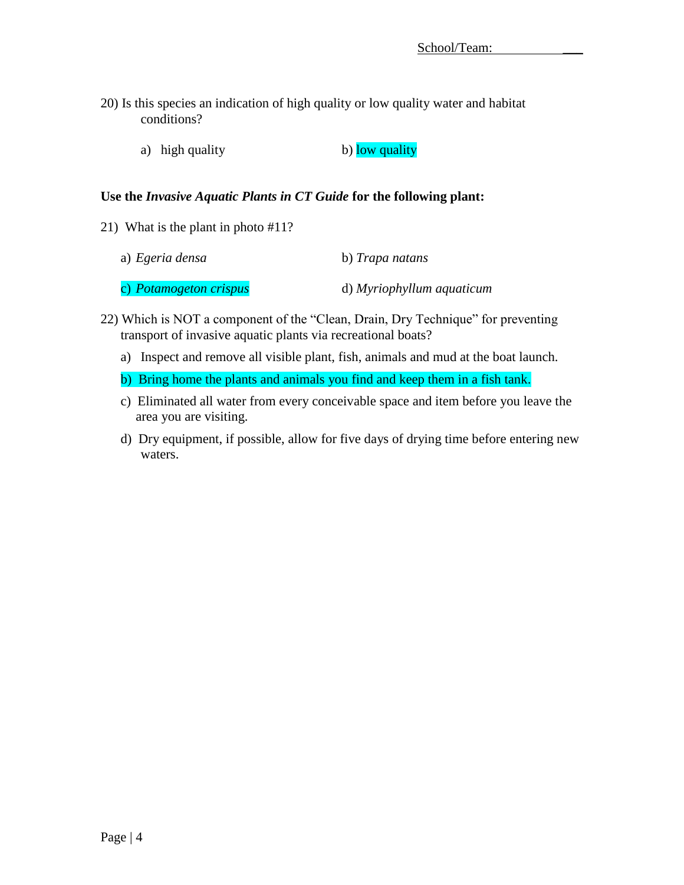- 20) Is this species an indication of high quality or low quality water and habitat conditions?
	- a) high quality b) low quality

#### **Use the** *Invasive Aquatic Plants in CT Guide* **for the following plant:**

21) What is the plant in photo #11?

| a) Egeria densa        | b) Trapa natans           |  |  |
|------------------------|---------------------------|--|--|
| c) Potamogeton crispus | d) Myriophyllum aquaticum |  |  |

- 22) Which is NOT a component of the "Clean, Drain, Dry Technique" for preventing transport of invasive aquatic plants via recreational boats?
	- a) Inspect and remove all visible plant, fish, animals and mud at the boat launch.
	- b) Bring home the plants and animals you find and keep them in a fish tank.
	- c) Eliminated all water from every conceivable space and item before you leave the area you are visiting.
	- d) Dry equipment, if possible, allow for five days of drying time before entering new waters.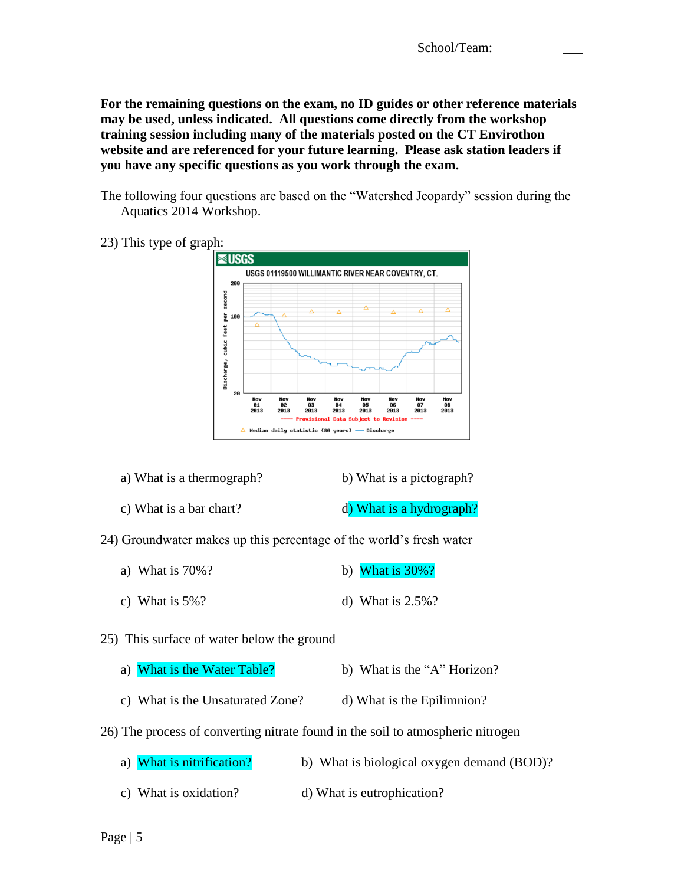**For the remaining questions on the exam, no ID guides or other reference materials may be used, unless indicated. All questions come directly from the workshop training session including many of the materials posted on the CT Envirothon website and are referenced for your future learning. Please ask station leaders if you have any specific questions as you work through the exam.**

- The following four questions are based on the "Watershed Jeopardy" session during the Aquatics 2014 Workshop.
- 23) This type of graph:



- a) What is a thermograph? b) What is a pictograph?
- c) What is a bar chart? d) What is a hydrograph?
- 24) Groundwater makes up this percentage of the world's fresh water
	- a) What is  $70\%$ ? b) What is  $30\%$ ?
	- c) What is  $5\%$ ? d) What is  $2.5\%$ ?
- 25) This surface of water below the ground

|  | a) What is the Water Table? | b) What is the "A" Horizon? |
|--|-----------------------------|-----------------------------|
|--|-----------------------------|-----------------------------|

- c) What is the Unsaturated Zone? d) What is the Epilimnion?
- 26) The process of converting nitrate found in the soil to atmospheric nitrogen
	- a) What is nitrification? b) What is biological oxygen demand (BOD)? c) What is oxidation? d) What is eutrophication?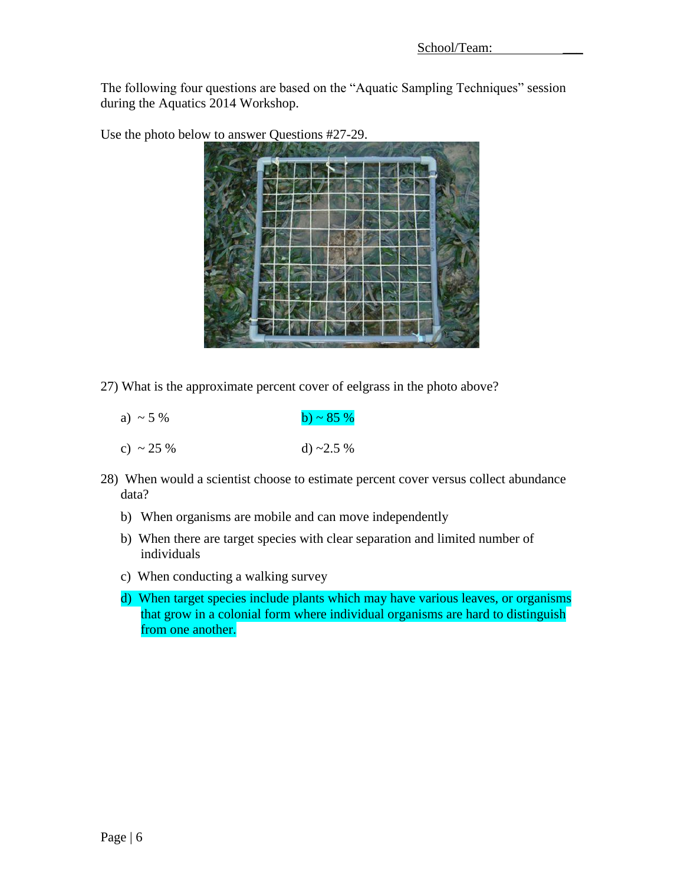The following four questions are based on the "Aquatic Sampling Techniques" session during the Aquatics 2014 Workshop.

Use the photo below to answer Questions #27-29.



27) What is the approximate percent cover of eelgrass in the photo above?

| a) ~ 5 %  | b) ~ 85 %       |
|-----------|-----------------|
| c) ~ 25 % | d) $\sim$ 2.5 % |

- 28) When would a scientist choose to estimate percent cover versus collect abundance data?
	- b) When organisms are mobile and can move independently
	- b) When there are target species with clear separation and limited number of individuals
	- c) When conducting a walking survey
	- d) When target species include plants which may have various leaves, or organisms that grow in a colonial form where individual organisms are hard to distinguish from one another.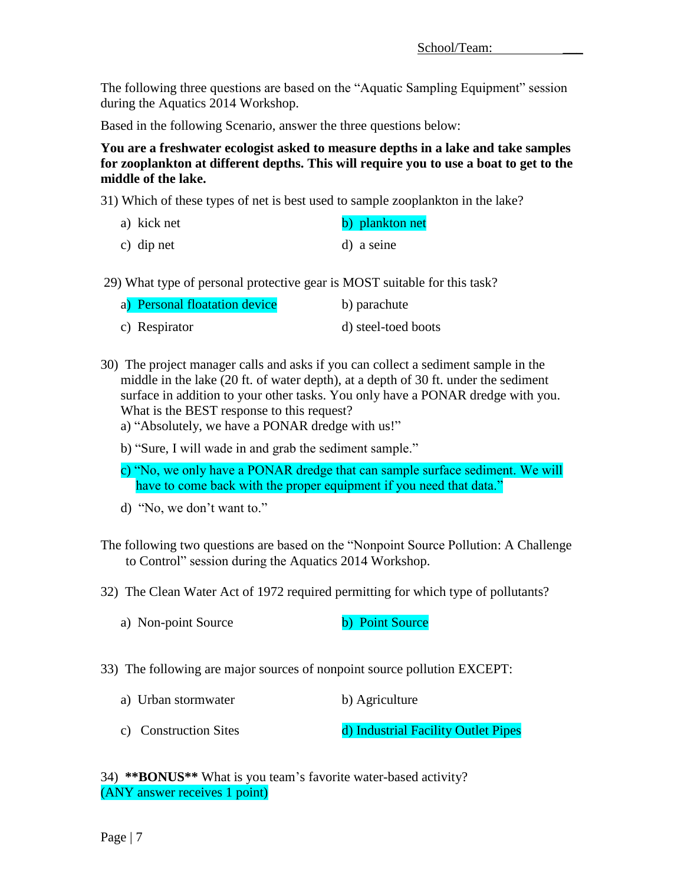The following three questions are based on the "Aquatic Sampling Equipment" session during the Aquatics 2014 Workshop.

Based in the following Scenario, answer the three questions below:

**You are a freshwater ecologist asked to measure depths in a lake and take samples for zooplankton at different depths. This will require you to use a boat to get to the middle of the lake.**

31) Which of these types of net is best used to sample zooplankton in the lake?

| a) kick net | b) plankton net |
|-------------|-----------------|
| c) dip net  | d) a seine      |

29) What type of personal protective gear is MOST suitable for this task?

| a) Personal floatation device | b) parachute        |
|-------------------------------|---------------------|
| c) Respirator                 | d) steel-toed boots |

- 30) The project manager calls and asks if you can collect a sediment sample in the middle in the lake (20 ft. of water depth), at a depth of 30 ft. under the sediment surface in addition to your other tasks. You only have a PONAR dredge with you. What is the BEST response to this request?
	- a) "Absolutely, we have a PONAR dredge with us!"
	- b) "Sure, I will wade in and grab the sediment sample."
	- c) "No, we only have a PONAR dredge that can sample surface sediment. We will have to come back with the proper equipment if you need that data."
	- d) "No, we don't want to."
- The following two questions are based on the "Nonpoint Source Pollution: A Challenge to Control" session during the Aquatics 2014 Workshop.
- 32) The Clean Water Act of 1972 required permitting for which type of pollutants?
	- a) Non-point Source b) Point Source
- 33) The following are major sources of nonpoint source pollution EXCEPT:
	- a) Urban stormwater b) Agriculture
	- c) Construction Sites d) Industrial Facility Outlet Pipes

34) **\*\*BONUS\*\*** What is you team's favorite water-based activity? (ANY answer receives 1 point)